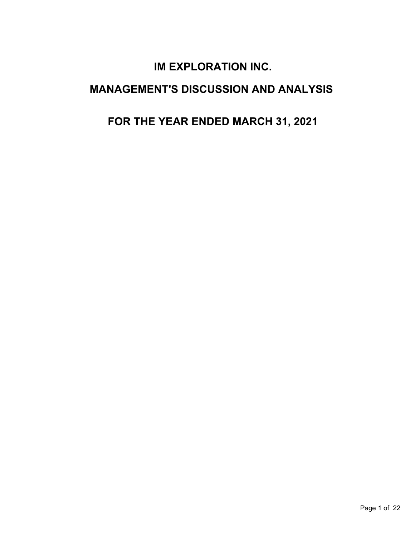# **IM EXPLORATION INC.**

# **MANAGEMENT'S DISCUSSION AND ANALYSIS**

# **FOR THE YEAR ENDED MARCH 31, 2021**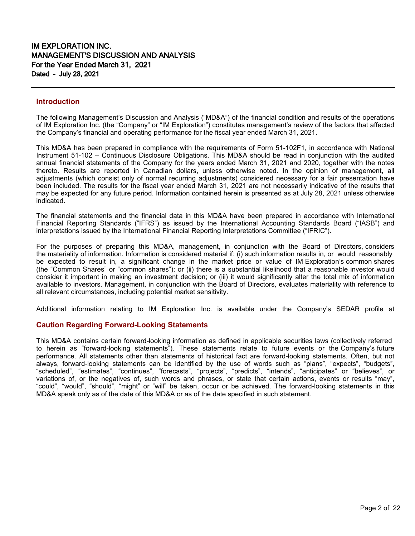### **Introduction**

The following Management's Discussion and Analysis ("MD&A") of the financial condition and results of the operations of IM Exploration Inc. (the "Company" or "IM Exploration") constitutes management's review of the factors that affected the Company's financial and operating performance for the fiscal year ended March 31, 2021.

This MD&A has been prepared in compliance with the requirements of Form 51-102F1, in accordance with National Instrument 51-102 – Continuous Disclosure Obligations. This MD&A should be read in conjunction with the audited annual financial statements of the Company for the years ended March 31, 2021 and 2020, together with the notes thereto. Results are reported in Canadian dollars, unless otherwise noted. In the opinion of management, all adjustments (which consist only of normal recurring adjustments) considered necessary for a fair presentation have been included. The results for the fiscal year ended March 31, 2021 are not necessarily indicative of the results that may be expected for any future period. Information contained herein is presented as at July 28, 2021 unless otherwise indicated.

The financial statements and the financial data in this MD&A have been prepared in accordance with International Financial Reporting Standards ("IFRS") as issued by the International Accounting Standards Board ("IASB") and interpretations issued by the International Financial Reporting Interpretations Committee ("IFRIC").

For the purposes of preparing this MD&A, management, in conjunction with the Board of Directors, considers the materiality of information. Information is considered material if: (i) such information results in, or would reasonably be expected to result in, a significant change in the market price or value of IM Exploration's common shares (the "Common Shares" or "common shares"); or (ii) there is a substantial likelihood that a reasonable investor would consider it important in making an investment decision; or (iii) it would significantly alter the total mix of information available to investors. Management, in conjunction with the Board of Directors, evaluates materiality with reference to all relevant circumstances, including potential market sensitivity.

Additional information relating to IM Exploration Inc. is available under the Company's SEDAR profile at

### **Caution Regarding Forward-Looking Statements**

This MD&A contains certain forward-looking information as defined in applicable securities laws (collectively referred to herein as "forward-looking statements"). These statements relate to future events or the Company's future performance. All statements other than statements of historical fact are forward-looking statements. Often, but not always, forward-looking statements can be identified by the use of words such as "plans", "expects", "budgets", "scheduled", "estimates", "continues", "forecasts", "projects", "predicts", "intends", "anticipates" or "believes", or variations of, or the negatives of, such words and phrases, or state that certain actions, events or results "may", "could", "would", "should", "might" or "will" be taken, occur or be achieved. The forward-looking statements in this MD&A speak only as of the date of this MD&A or as of the date specified in such statement.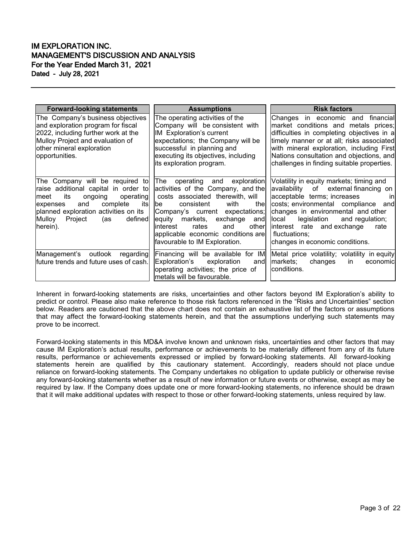| <b>Forward-looking statements</b>                                                                                                                                                                                                                  | <b>Assumptions</b>                                                                                                                                                                                                                                                                                                                  | <b>Risk factors</b>                                                                                                                                                                                                                                                                                                                       |
|----------------------------------------------------------------------------------------------------------------------------------------------------------------------------------------------------------------------------------------------------|-------------------------------------------------------------------------------------------------------------------------------------------------------------------------------------------------------------------------------------------------------------------------------------------------------------------------------------|-------------------------------------------------------------------------------------------------------------------------------------------------------------------------------------------------------------------------------------------------------------------------------------------------------------------------------------------|
| The Company's business objectives<br>and exploration program for fiscal<br>2022, including further work at the<br>Mulloy Project and evaluation of<br>other mineral exploration<br>opportunities.                                                  | The operating activities of the<br>Company will be consistent with<br>IM Exploration's current<br>expectations; the Company will be<br>successful in planning and<br>executing its objectives, including<br>its exploration program.                                                                                                | Changes in economic and financial<br>market conditions and metals prices;<br>difficulties in completing objectives in a<br>timely manner or at all; risks associated<br>with mineral exploration, including First<br>Nations consultation and objections, and<br>challenges in finding suitable properties.                               |
| The Company will be required to<br>raise additional capital in order to<br>operating<br>its<br>ongoing<br>lmeet<br>complete<br>itsl<br>and<br>expenses<br>planned exploration activities on its<br>defined<br>Mulloy<br>Project<br>(as<br>herein). | The operating and exploration<br>activities of the Company, and the<br>costs associated therewith, will<br>consistent<br>with<br>thel<br>lbe⊹<br>Company's current expectations;<br>equity markets,<br>exchange<br>and<br>other<br>linterest<br>rates<br>and<br>applicable economic conditions are<br>favourable to IM Exploration. | Volatility in equity markets; timing and<br>availability of external financing on<br>acceptable terms; increases<br>in<br>costs; environmental compliance and<br>changes in environmental and other<br>and regulation;<br>llocal<br>legislation<br>interest rate and exchange<br>rate<br>fluctuations;<br>changes in economic conditions. |
| Management's outlook<br>regarding<br>future trends and future uses of cash.                                                                                                                                                                        | Financing will be available for IM<br>Exploration's<br>exploration<br>andl<br>operating activities; the price of<br>lmetals will be favourable.                                                                                                                                                                                     | Metal price volatility; volatility in equity<br>markets;<br>changes<br><i>in</i><br>economic<br>conditions.                                                                                                                                                                                                                               |

Inherent in forward-looking statements are risks, uncertainties and other factors beyond IM Exploration's ability to predict or control. Please also make reference to those risk factors referenced in the "Risks and Uncertainties" section below. Readers are cautioned that the above chart does not contain an exhaustive list of the factors or assumptions that may affect the forward-looking statements herein, and that the assumptions underlying such statements may prove to be incorrect.

Forward-looking statements in this MD&A involve known and unknown risks, uncertainties and other factors that may cause IM Exploration's actual results, performance or achievements to be materially different from any of its future results, performance or achievements expressed or implied by forward-looking statements. All forward-looking statements herein are qualified by this cautionary statement. Accordingly, readers should not place undue reliance on forward-looking statements. The Company undertakes no obligation to update publicly or otherwise revise any forward-looking statements whether as a result of new information or future events or otherwise, except as may be required by law. If the Company does update one or more forward-looking statements, no inference should be drawn that it will make additional updates with respect to those or other forward-looking statements, unless required by law.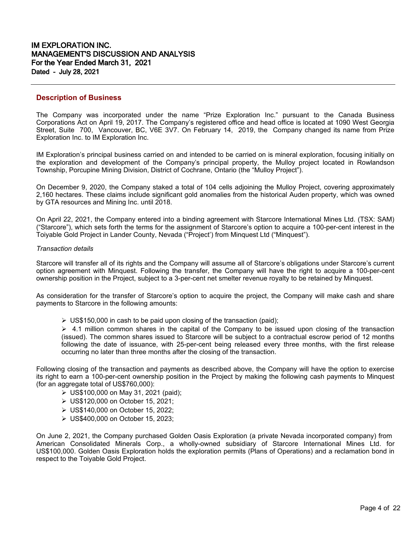## **Description of Business**

The Company was incorporated under the name "Prize Exploration Inc." pursuant to the Canada Business Corporations Act on April 19, 2017. The Company's registered office and head office is located at 1090 West Georgia Street, Suite 700, Vancouver, BC, V6E 3V7. On February 14, 2019, the Company changed its name from Prize Exploration Inc. to IM Exploration Inc.

IM Exploration's principal business carried on and intended to be carried on is mineral exploration, focusing initially on the exploration and development of the Company's principal property, the Mulloy project located in Rowlandson Township, Porcupine Mining Division, District of Cochrane, Ontario (the "Mulloy Project").

On December 9, 2020, the Company staked a total of 104 cells adjoining the Mulloy Project, covering approximately 2,160 hectares. These claims include significant gold anomalies from the historical Auden property, which was owned by GTA resources and Mining Inc. until 2018.

On April 22, 2021, the Company entered into a binding agreement with Starcore International Mines Ltd. (TSX: SAM) ("Starcore"), which sets forth the terms for the assignment of Starcore's option to acquire a 100-per-cent interest in the Toiyable Gold Project in Lander County, Nevada ("Project') from Minquest Ltd ("Minquest").

#### *Transaction details*

Starcore will transfer all of its rights and the Company will assume all of Starcore's obligations under Starcore's current option agreement with Minquest. Following the transfer, the Company will have the right to acquire a 100-per-cent ownership position in the Project, subject to a 3-per-cent net smelter revenue royalty to be retained by Minquest.

As consideration for the transfer of Starcore's option to acquire the project, the Company will make cash and share payments to Starcore in the following amounts:

 $\triangleright$  US\$150,000 in cash to be paid upon closing of the transaction (paid);

 $\geq 4.1$  million common shares in the capital of the Company to be issued upon closing of the transaction (issued). The common shares issued to Starcore will be subject to a contractual escrow period of 12 months following the date of issuance, with 25-per-cent being released every three months, with the first release occurring no later than three months after the closing of the transaction.

Following closing of the transaction and payments as described above, the Company will have the option to exercise its right to earn a 100-per-cent ownership position in the Project by making the following cash payments to Minquest (for an aggregate total of US\$760,000):

- US\$100,000 on May 31, 2021 (paid);
- US\$120,000 on October 15, 2021;
- US\$140,000 on October 15, 2022;
- US\$400,000 on October 15, 2023;

On June 2, 2021, the Company purchased Golden Oasis Exploration (a private Nevada incorporated company) from American Consolidated Minerals Corp., a wholly-owned subsidiary of Starcore International Mines Ltd. for US\$100,000. Golden Oasis Exploration holds the exploration permits (Plans of Operations) and a reclamation bond in respect to the Toiyable Gold Project.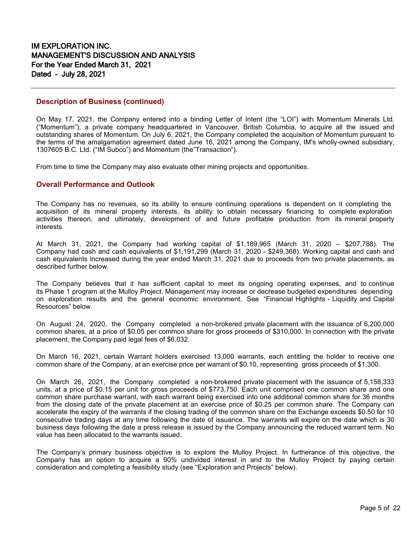### **Description of Business (continued)**

On May 17, 2021, the Company entered into a binding Letter of Intent (the "LOI") with Momentum Minerals Ltd. ("Momentum"), a private company headquartered in Vancouver, British Columbia, to acquire all the issued and outstanding shares of Momentum. On July 6, 2021, the Company completed the acquisition of Momentum pursuant to the terms of the amalgamation agreement dated June 16, 2021 among the Company, IM's wholly-owned subsidiary, 1307605 B.C. Ltd. ("IM Subco") and Momentum (the"Transaction").

From time to time the Company may also evaluate other mining projects and opportunities.

# **Overall Performance and Outlook**

The Company has no revenues, so its ability to ensure continuing operations is dependent on it completing the acquisition of its mineral property interests, its ability to obtain necessary financing to complete exploration activities thereon, and ultimately, development of and future profitable production from its mineral property interests.

At March 31, 2021, the Company had working capital of \$1,189,965 (March 31, 2020 – \$207,788). The Company had cash and cash equivalents of \$1,191,299 (March 31, 2020 - \$249,368). Working capital and cash and cash equivalents increased during the year ended March 31, 2021 due to proceeds from two private placements, as described further below.

The Company believes that it has sufficient capital to meet its ongoing operating expenses, and to continue its Phase 1 program at the Mulloy Project. Management may increase or decrease budgeted expenditures depending on exploration results and the general economic environment. See "Financial Highlights - Liquidity and Capital Resources" below.

On August 24, 2020, the Company completed a non-brokered private placement with the issuance of 6,200,000 common shares, at a price of \$0.05 per common share for gross proceeds of \$310,000. In connection with the private placement, the Company paid legal fees of \$6,032.

On March 16, 2021, certain Warrant holders exercised 13,000 warrants, each entitling the holder to receive one common share of the Company, at an exercise price per warrant of \$0.10, representing gross proceeds of \$1,300.

On March 26, 2021, the Company completed a non-brokered private placement with the issuance of 5,158,333 units, at a price of \$0.15 per unit for gross proceeds of \$773,750. Each unit comprised one common share and one common share purchase warrant, with each warrant being exercised into one additional common share for 36 months from the closing date of the private placement at an exercise price of \$0.25 per common share. The Company can accelerate the expiry of the warrants if the closing trading of the common share on the Exchange exceeds \$0.50 for 10 consecutive trading days at any time following the date of issuance. The warrants will expire on the date which is 30 business days following the date a press release is issued by the Company announcing the reduced warrant term. No value has been allocated to the warrants issued.

The Company's primary business objective is to explore the Mulloy Project. In furtherance of this objective, the Company has an option to acquire a 90% undivided interest in and to the Mulloy Project by paying certain consideration and completing a feasibility study (see "Exploration and Projects" below).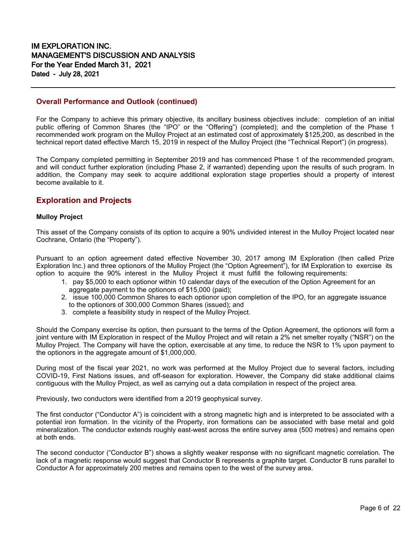### **Overall Performance and Outlook (continued)**

For the Company to achieve this primary objective, its ancillary business objectives include: completion of an initial public offering of Common Shares (the "IPO" or the "Offering") (completed); and the completion of the Phase 1 recommended work program on the Mulloy Project at an estimated cost of approximately \$125,200, as described in the technical report dated effective March 15, 2019 in respect of the Mulloy Project (the "Technical Report") (in progress).

The Company completed permitting in September 2019 and has commenced Phase 1 of the recommended program, and will conduct further exploration (including Phase 2, if warranted) depending upon the results of such program. In addition, the Company may seek to acquire additional exploration stage properties should a property of interest become available to it.

# **Exploration and Projects**

### **Mulloy Project**

This asset of the Company consists of its option to acquire a 90% undivided interest in the Mulloy Project located near Cochrane, Ontario (the "Property").

Pursuant to an option agreement dated effective November 30, 2017 among IM Exploration (then called Prize Exploration Inc.) and three optionors of the Mulloy Project (the "Option Agreement"), for IM Exploration to exercise its option to acquire the 90% interest in the Mulloy Project it must fulfill the following requirements:

- 1. pay \$5,000 to each optionor within 10 calendar days of the execution of the Option Agreement for an aggregate payment to the optionors of \$15,000 (paid);
- 2. issue 100,000 Common Shares to each optionor upon completion of the IPO, for an aggregate issuance to the optionors of 300,000 Common Shares (issued); and
- 3. complete a feasibility study in respect of the Mulloy Project.

Should the Company exercise its option, then pursuant to the terms of the Option Agreement, the optionors will form a joint venture with IM Exploration in respect of the Mulloy Project and will retain a 2% net smelter royalty ("NSR") on the Mulloy Project. The Company will have the option, exercisable at any time, to reduce the NSR to 1% upon payment to the optionors in the aggregate amount of \$1,000,000.

During most of the fiscal year 2021, no work was performed at the Mulloy Project due to several factors, including COVID-19, First Nations issues, and off-season for exploration. However, the Company did stake additional claims contiguous with the Mulloy Project, as well as carrying out a data compilation in respect of the project area.

Previously, two conductors were identified from a 2019 geophysical survey.

The first conductor ("Conductor A") is coincident with a strong magnetic high and is interpreted to be associated with a potential iron formation. In the vicinity of the Property, iron formations can be associated with base metal and gold mineralization. The conductor extends roughly east-west across the entire survey area (500 metres) and remains open at both ends.

The second conductor ("Conductor B") shows a slightly weaker response with no significant magnetic correlation. The lack of a magnetic response would suggest that Conductor B represents a graphite target. Conductor B runs parallel to Conductor A for approximately 200 metres and remains open to the west of the survey area.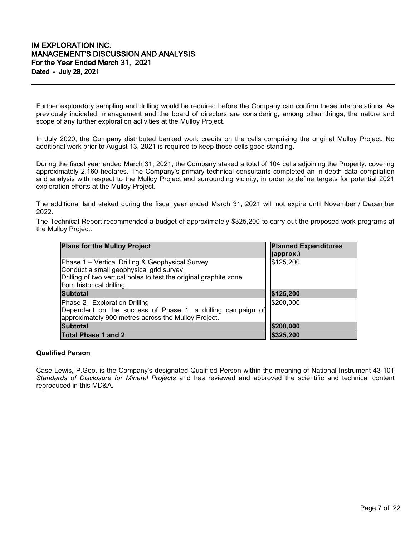Further exploratory sampling and drilling would be required before the Company can confirm these interpretations. As previously indicated, management and the board of directors are considering, among other things, the nature and scope of any further exploration activities at the Mulloy Project.

In July 2020, the Company distributed banked work credits on the cells comprising the original Mulloy Project. No additional work prior to August 13, 2021 is required to keep those cells good standing.

During the fiscal year ended March 31, 2021, the Company staked a total of 104 cells adjoining the Property, covering approximately 2,160 hectares. The Company's primary technical consultants completed an in-depth data compilation and analysis with respect to the Mulloy Project and surrounding vicinity, in order to define targets for potential 2021 exploration efforts at the Mulloy Project.

The additional land staked during the fiscal year ended March 31, 2021 will not expire until November / December 2022.

The Technical Report recommended a budget of approximately \$325,200 to carry out the proposed work programs at the Mulloy Project.

| <b>Plans for the Mulloy Project</b>                                                                                                                                                            | <b>Planned Expenditures</b><br>(approx.) |
|------------------------------------------------------------------------------------------------------------------------------------------------------------------------------------------------|------------------------------------------|
| Phase 1 - Vertical Drilling & Geophysical Survey<br>Conduct a small geophysical grid survey.<br>Drilling of two vertical holes to test the original graphite zone<br>from historical drilling. | \$125,200                                |
| <b>Subtotal</b>                                                                                                                                                                                | \$125,200                                |
| Phase 2 - Exploration Drilling<br>Dependent on the success of Phase 1, a drilling campaign of<br>approximately 900 metres across the Mulloy Project.                                           | \$200,000                                |
| <b>Subtotal</b>                                                                                                                                                                                | \$200,000                                |
| <b>Total Phase 1 and 2</b>                                                                                                                                                                     | \$325,200                                |

### **Qualified Person**

Case Lewis, P.Geo. is the Company's designated Qualified Person within the meaning of National Instrument 43-101 *Standards of Disclosure for Mineral Projects* and has reviewed and approved the scientific and technical content reproduced in this MD&A.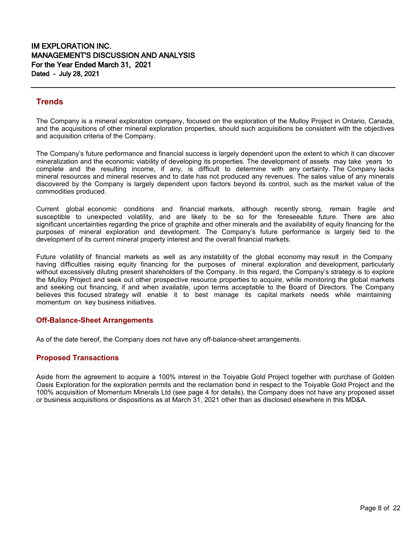# **Trends**

The Company is a mineral exploration company, focused on the exploration of the Mulloy Project in Ontario, Canada, and the acquisitions of other mineral exploration properties, should such acquisitions be consistent with the objectives and acquisition criteria of the Company.

The Company's future performance and financial success is largely dependent upon the extent to which it can discover mineralization and the economic viability of developing its properties. The development of assets may take years to complete and the resulting income, if any, is difficult to determine with any certainty. The Company lacks mineral resources and mineral reserves and to date has not produced any revenues. The sales value of any minerals discovered by the Company is largely dependent upon factors beyond its control, such as the market value of the commodities produced.

Current global economic conditions and financial markets, although recently strong, remain fragile and susceptible to unexpected volatility, and are likely to be so for the foreseeable future. There are also significant uncertainties regarding the price of graphite and other minerals and the availability of equity financing for the purposes of mineral exploration and development. The Company's future performance is largely tied to the development of its current mineral property interest and the overall financial markets.

Future volatility of financial markets as well as any instability of the global economy may result in the Company having difficulties raising equity financing for the purposes of mineral exploration and development, particularly without excessively diluting present shareholders of the Company. In this regard, the Company's strategy is to explore the Mulloy Project and seek out other prospective resource properties to acquire, while monitoring the global markets and seeking out financing, if and when available, upon terms acceptable to the Board of Directors. The Company believes this focused strategy will enable it to best manage its capital markets needs while maintaining momentum on key business initiatives.

# **Off-Balance-Sheet Arrangements**

As of the date hereof, the Company does not have any off-balance-sheet arrangements.

# **Proposed Transactions**

Aside from the agreement to acquire a 100% interest in the Toiyable Gold Project together with purchase of Golden Oasis Exploration for the exploration permits and the reclamation bond in respect to the Toiyable Gold Project and the 100% acquisition of Momentum Minerals Ltd (see page 4 for details), the Company does not have any proposed asset or business acquisitions or dispositions as at March 31, 2021 other than as disclosed elsewhere in this MD&A.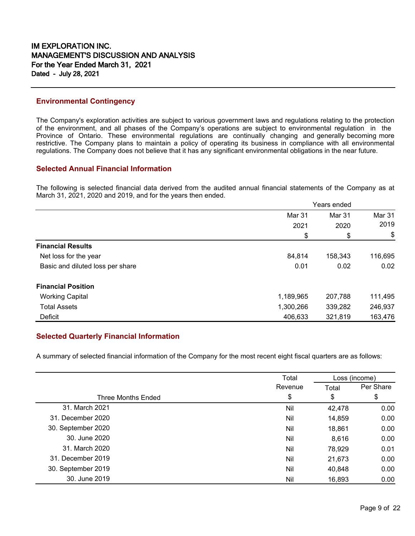## **Environmental Contingency**

The Company's exploration activities are subject to various government laws and regulations relating to the protection of the environment, and all phases of the Company's operations are subject to environmental regulation in the Province of Ontario. These environmental regulations are continually changing and generally becoming more restrictive. The Company plans to maintain a policy of operating its business in compliance with all environmental regulations. The Company does not believe that it has any significant environmental obligations in the near future.

## **Selected Annual Financial Information**

The following is selected financial data derived from the audited annual financial statements of the Company as at March 31, 2021, 2020 and 2019, and for the years then ended.

|                                  | Years ended |         |               |
|----------------------------------|-------------|---------|---------------|
|                                  | Mar 31      | Mar 31  | <b>Mar 31</b> |
|                                  | 2021        | 2020    | 2019          |
|                                  | \$          | \$      | \$            |
| <b>Financial Results</b>         |             |         |               |
| Net loss for the year            | 84,814      | 158,343 | 116,695       |
| Basic and diluted loss per share | 0.01        | 0.02    | 0.02          |
| <b>Financial Position</b>        |             |         |               |
| <b>Working Capital</b>           | 1,189,965   | 207,788 | 111,495       |
| <b>Total Assets</b>              | 1,300,266   | 339,282 | 246,937       |
| Deficit                          | 406,633     | 321,819 | 163,476       |

# **Selected Quarterly Financial Information**

A summary of selected financial information of the Company for the most recent eight fiscal quarters are as follows:

|                           | Total   | Loss (income) |           |
|---------------------------|---------|---------------|-----------|
|                           | Revenue | Total         | Per Share |
| <b>Three Months Ended</b> | \$      | \$            | \$        |
| 31. March 2021            | Nil     | 42,478        | 0.00      |
| 31. December 2020         | Nil     | 14,859        | 0.00      |
| 30. September 2020        | Nil     | 18,861        | 0.00      |
| 30. June 2020             | Nil     | 8,616         | 0.00      |
| 31. March 2020            | Nil     | 78,929        | 0.01      |
| 31. December 2019         | Nil     | 21,673        | 0.00      |
| 30. September 2019        | Nil     | 40,848        | 0.00      |
| 30. June 2019             | Nil     | 16,893        | 0.00      |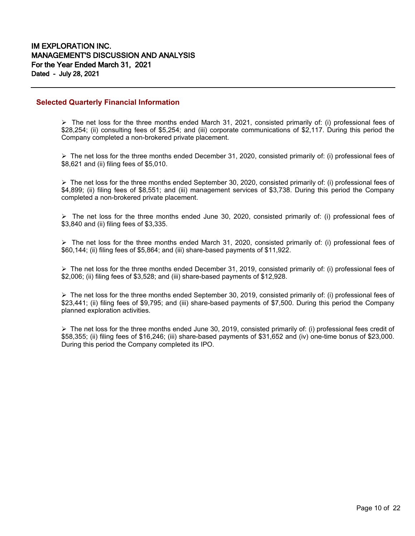## **Selected Quarterly Financial Information**

 $\triangleright$  The net loss for the three months ended March 31, 2021, consisted primarily of: (i) professional fees of \$28,254; (ii) consulting fees of \$5,254; and (iii) corporate communications of \$2,117. During this period the Company completed a non-brokered private placement.

 $\triangleright$  The net loss for the three months ended December 31, 2020, consisted primarily of: (i) professional fees of \$8,621 and (ii) filing fees of \$5,010.

 $\triangleright$  The net loss for the three months ended September 30, 2020, consisted primarily of: (i) professional fees of \$4,899; (ii) filing fees of \$8,551; and (iii) management services of \$3,738. During this period the Company completed a non-brokered private placement.

 $\triangleright$  The net loss for the three months ended June 30, 2020, consisted primarily of: (i) professional fees of \$3,840 and (ii) filing fees of \$3,335.

 $\triangleright$  The net loss for the three months ended March 31, 2020, consisted primarily of: (i) professional fees of \$60,144; (ii) filing fees of \$5,864; and (iii) share-based payments of \$11,922.

 $\triangleright$  The net loss for the three months ended December 31, 2019, consisted primarily of: (i) professional fees of \$2,006; (ii) filing fees of \$3,528; and (iii) share-based payments of \$12,928.

 The net loss for the three months ended September 30, 2019, consisted primarily of: (i) professional fees of \$23,441; (ii) filing fees of \$9,795; and (iii) share-based payments of \$7,500. During this period the Company planned exploration activities.

 $\triangleright$  The net loss for the three months ended June 30, 2019, consisted primarily of: (i) professional fees credit of \$58,355; (ii) filing fees of \$16,246; (iii) share-based payments of \$31,652 and (iv) one-time bonus of \$23,000. During this period the Company completed its IPO.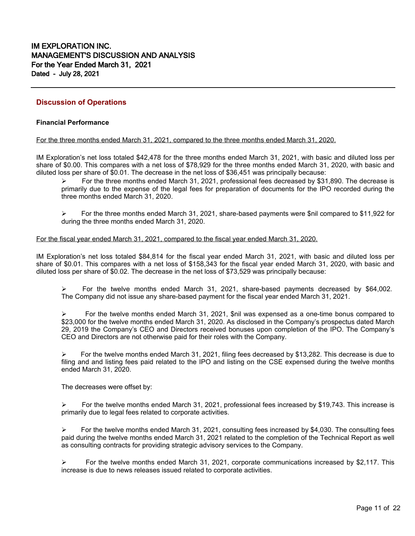# **Discussion of Operations**

### **Financial Performance**

#### For the three months ended March 31, 2021, compared to the three months ended March 31, 2020.

IM Exploration's net loss totaled \$42,478 for the three months ended March 31, 2021, with basic and diluted loss per share of \$0.00. This compares with a net loss of \$78,929 for the three months ended March 31, 2020, with basic and diluted loss per share of \$0.01. The decrease in the net loss of \$36,451 was principally because:

 For the three months ended March 31, 2021, professional fees decreased by \$31,890. The decrease is primarily due to the expense of the legal fees for preparation of documents for the IPO recorded during the three months ended March 31, 2020.

 $\triangleright$  For the three months ended March 31, 2021, share-based payments were \$nil compared to \$11,922 for during the three months ended March 31, 2020.

#### For the fiscal year ended March 31, 2021, compared to the fiscal year ended March 31, 2020.

IM Exploration's net loss totaled \$84,814 for the fiscal year ended March 31, 2021, with basic and diluted loss per share of \$0.01. This compares with a net loss of \$158,343 for the fiscal year ended March 31, 2020, with basic and diluted loss per share of \$0.02. The decrease in the net loss of \$73,529 was principally because:

 For the twelve months ended March 31, 2021, share-based payments decreased by \$64,002. The Company did not issue any share-based payment for the fiscal year ended March 31, 2021.

 For the twelve months ended March 31, 2021, \$nil was expensed as a one-time bonus compared to \$23,000 for the twelve months ended March 31, 2020. As disclosed in the Company's prospectus dated March 29, 2019 the Company's CEO and Directors received bonuses upon completion of the IPO. The Company's CEO and Directors are not otherwise paid for their roles with the Company.

 $\triangleright$  For the twelve months ended March 31, 2021, filing fees decreased by \$13,282. This decrease is due to filing and and listing fees paid related to the IPO and listing on the CSE expensed during the twelve months ended March 31, 2020.

The decreases were offset by:

 $\triangleright$  For the twelve months ended March 31, 2021, professional fees increased by \$19,743. This increase is primarily due to legal fees related to corporate activities.

 $\triangleright$  For the twelve months ended March 31, 2021, consulting fees increased by \$4,030. The consulting fees paid during the twelve months ended March 31, 2021 related to the completion of the Technical Report as well as consulting contracts for providing strategic advisory services to the Company.

 $\triangleright$  For the twelve months ended March 31, 2021, corporate communications increased by \$2,117. This increase is due to news releases issued related to corporate activities.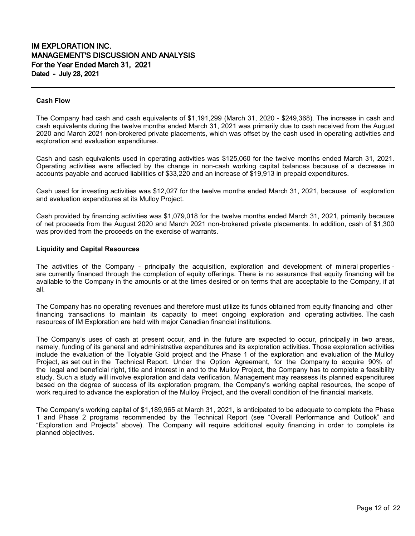#### **Cash Flow**

The Company had cash and cash equivalents of \$1,191,299 (March 31, 2020 - \$249,368). The increase in cash and cash equivalents during the twelve months ended March 31, 2021 was primarily due to cash received from the August 2020 and March 2021 non-brokered private placements, which was offset by the cash used in operating activities and exploration and evaluation expenditures.

Cash and cash equivalents used in operating activities was \$125,060 for the twelve months ended March 31, 2021. Operating activities were affected by the change in non-cash working capital balances because of a decrease in accounts payable and accrued liabilities of \$33,220 and an increase of \$19,913 in prepaid expenditures.

Cash used for investing activities was \$12,027 for the twelve months ended March 31, 2021, because of exploration and evaluation expenditures at its Mulloy Project.

Cash provided by financing activities was \$1,079,018 for the twelve months ended March 31, 2021, primarily because of net proceeds from the August 2020 and March 2021 non-brokered private placements. In addition, cash of \$1,300 was provided from the proceeds on the exercise of warrants.

#### **Liquidity and Capital Resources**

The activities of the Company - principally the acquisition, exploration and development of mineral properties are currently financed through the completion of equity offerings. There is no assurance that equity financing will be available to the Company in the amounts or at the times desired or on terms that are acceptable to the Company, if at all.

The Company has no operating revenues and therefore must utilize its funds obtained from equity financing and other financing transactions to maintain its capacity to meet ongoing exploration and operating activities. The cash resources of IM Exploration are held with major Canadian financial institutions.

The Company's uses of cash at present occur, and in the future are expected to occur, principally in two areas, namely, funding of its general and administrative expenditures and its exploration activities. Those exploration activities include the evaluation of the Toiyable Gold project and the Phase 1 of the exploration and evaluation of the Mulloy Project, as set out in the Technical Report. Under the Option Agreement, for the Company to acquire 90% of the legal and beneficial right, title and interest in and to the Mulloy Project, the Company has to complete a feasibility study. Such a study will involve exploration and data verification. Management may reassess its planned expenditures based on the degree of success of its exploration program, the Company's working capital resources, the scope of work required to advance the exploration of the Mulloy Project, and the overall condition of the financial markets.

The Company's working capital of \$1,189,965 at March 31, 2021, is anticipated to be adequate to complete the Phase 1 and Phase 2 programs recommended by the Technical Report (see "Overall Performance and Outlook" and "Exploration and Projects" above). The Company will require additional equity financing in order to complete its planned objectives.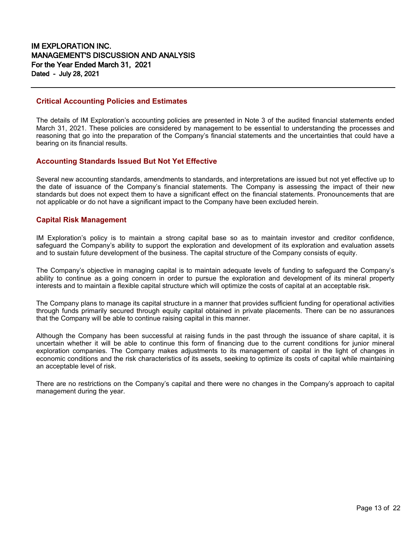## **Critical Accounting Policies and Estimates**

The details of IM Exploration's accounting policies are presented in Note 3 of the audited financial statements ended March 31, 2021. These policies are considered by management to be essential to understanding the processes and reasoning that go into the preparation of the Company's financial statements and the uncertainties that could have a bearing on its financial results.

## **Accounting Standards Issued But Not Yet Effective**

Several new accounting standards, amendments to standards, and interpretations are issued but not yet effective up to the date of issuance of the Company's financial statements. The Company is assessing the impact of their new standards but does not expect them to have a significant effect on the financial statements. Pronouncements that are not applicable or do not have a significant impact to the Company have been excluded herein.

# **Capital Risk Management**

IM Exploration's policy is to maintain a strong capital base so as to maintain investor and creditor confidence, safeguard the Company's ability to support the exploration and development of its exploration and evaluation assets and to sustain future development of the business. The capital structure of the Company consists of equity.

The Company's objective in managing capital is to maintain adequate levels of funding to safeguard the Company's ability to continue as a going concern in order to pursue the exploration and development of its mineral property interests and to maintain a flexible capital structure which will optimize the costs of capital at an acceptable risk.

The Company plans to manage its capital structure in a manner that provides sufficient funding for operational activities through funds primarily secured through equity capital obtained in private placements. There can be no assurances that the Company will be able to continue raising capital in this manner.

Although the Company has been successful at raising funds in the past through the issuance of share capital, it is uncertain whether it will be able to continue this form of financing due to the current conditions for junior mineral exploration companies. The Company makes adjustments to its management of capital in the light of changes in economic conditions and the risk characteristics of its assets, seeking to optimize its costs of capital while maintaining an acceptable level of risk.

There are no restrictions on the Company's capital and there were no changes in the Company's approach to capital management during the year.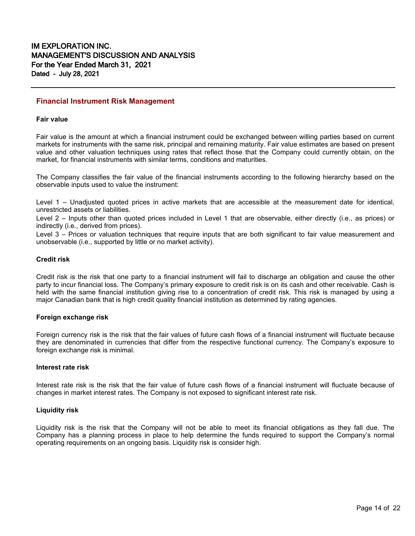#### **Financial Instrument Risk Management**

#### **Fair value**

Fair value is the amount at which a financial instrument could be exchanged between willing parties based on current markets for instruments with the same risk, principal and remaining maturity. Fair value estimates are based on present value and other valuation techniques using rates that reflect those that the Company could currently obtain, on the market, for financial instruments with similar terms, conditions and maturities.

The Company classifies the fair value of the financial instruments according to the following hierarchy based on the observable inputs used to value the instrument:

Level 1 – Unadjusted quoted prices in active markets that are accessible at the measurement date for identical, unrestricted assets or liabilities.

Level 2 – Inputs other than quoted prices included in Level 1 that are observable, either directly (i.e., as prices) or indirectly (i.e., derived from prices).

Level 3 – Prices or valuation techniques that require inputs that are both significant to fair value measurement and unobservable (i.e., supported by little or no market activity).

#### **Credit risk**

Credit risk is the risk that one party to a financial instrument will fail to discharge an obligation and cause the other party to incur financial loss. The Company's primary exposure to credit risk is on its cash and other receivable. Cash is held with the same financial institution giving rise to a concentration of credit risk. This risk is managed by using a major Canadian bank that is high credit quality financial institution as determined by rating agencies.

#### **Foreign exchange risk**

Foreign currency risk is the risk that the fair values of future cash flows of a financial instrument will fluctuate because they are denominated in currencies that differ from the respective functional currency. The Company's exposure to foreign exchange risk is minimal.

#### **Interest rate risk**

Interest rate risk is the risk that the fair value of future cash flows of a financial instrument will fluctuate because of changes in market interest rates. The Company is not exposed to significant interest rate risk.

#### **Liquidity risk**

Liquidity risk is the risk that the Company will not be able to meet its financial obligations as they fall due. The Company has a planning process in place to help determine the funds required to support the Company's normal operating requirements on an ongoing basis. Liquidity risk is consider high.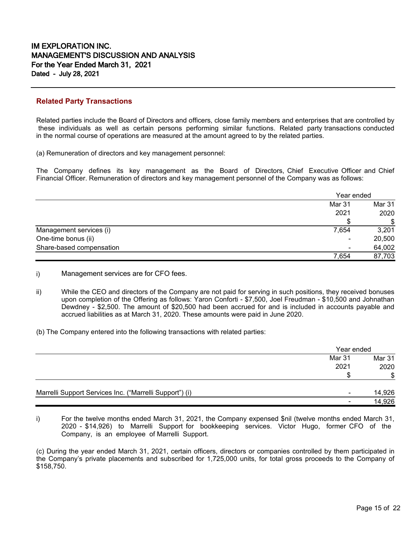## **Related Party Transactions**

Related parties include the Board of Directors and officers, close family members and enterprises that are controlled by these individuals as well as certain persons performing similar functions. Related party transactions conducted in the normal course of operations are measured at the amount agreed to by the related parties.

(a) Remuneration of directors and key management personnel:

The Company defines its key management as the Board of Directors, Chief Executive Officer and Chief Financial Officer. Remuneration of directors and key management personnel of the Company was as follows:

|                          |        | Year ended |  |
|--------------------------|--------|------------|--|
|                          | Mar 31 | Mar 31     |  |
|                          | 2021   | 2020       |  |
|                          |        | \$         |  |
| Management services (i)  | 7,654  | 3,201      |  |
| One-time bonus (ii)      | ۰      | 20,500     |  |
| Share-based compensation | -      | 64,002     |  |
|                          | 7,654  | 87,703     |  |

i) Management services are for CFO fees.

- ii) While the CEO and directors of the Company are not paid for serving in such positions, they received bonuses upon completion of the Offering as follows: Yaron Conforti - \$7,500, Joel Freudman - \$10,500 and Johnathan Dewdney - \$2,500. The amount of \$20,500 had been accrued for and is included in accounts payable and accrued liabilities as at March 31, 2020. These amounts were paid in June 2020.
- (b) The Company entered into the following transactions with related parties:

|                                                         |        | Year ended |  |
|---------------------------------------------------------|--------|------------|--|
|                                                         | Mar 31 | Mar 31     |  |
|                                                         | 2021   | 2020       |  |
|                                                         | £.     | \$         |  |
| Marrelli Support Services Inc. ("Marrelli Support") (i) |        | 14,926     |  |
|                                                         |        | 14,926     |  |

i) For the twelve months ended March 31, 2021, the Company expensed \$nil (twelve months ended March 31, 2020 - \$14,926) to Marrelli Support for bookkeeping services. Victor Hugo, former CFO of the Company, is an employee of Marrelli Support.

(c) During the year ended March 31, 2021, certain officers, directors or companies controlled by them participated in the Company's private placements and subscribed for 1,725,000 units, for total gross proceeds to the Company of \$158,750.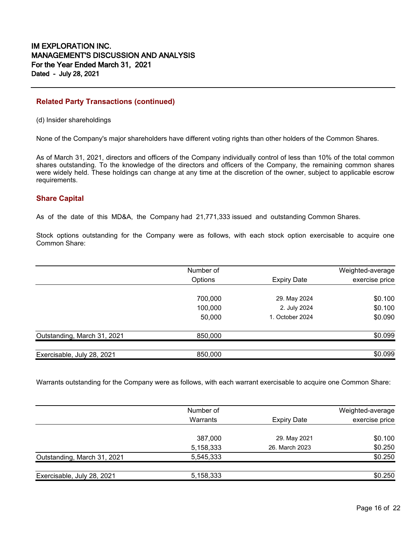# **Related Party Transactions (continued)**

(d) Insider shareholdings

None of the Company's major shareholders have different voting rights than other holders of the Common Shares.

As of March 31, 2021, directors and officers of the Company individually control of less than 10% of the total common shares outstanding. To the knowledge of the directors and officers of the Company, the remaining common shares were widely held. These holdings can change at any time at the discretion of the owner, subject to applicable escrow requirements.

# **Share Capital**

As of the date of this MD&A, the Company had 21,771,333 issued and outstanding Common Shares.

Stock options outstanding for the Company were as follows, with each stock option exercisable to acquire one Common Share:

|                             | Number of |                    | Weighted-average |
|-----------------------------|-----------|--------------------|------------------|
|                             | Options   | <b>Expiry Date</b> | exercise price   |
|                             | 700,000   | 29. May 2024       | \$0.100          |
|                             | 100,000   | 2. July 2024       | \$0.100          |
|                             | 50,000    | 1. October 2024    | \$0.090          |
| Outstanding, March 31, 2021 | 850,000   |                    | \$0.099          |
|                             |           |                    |                  |
| Exercisable, July 28, 2021  | 850,000   |                    | \$0.099          |

Warrants outstanding for the Company were as follows, with each warrant exercisable to acquire one Common Share:

|                             | Number of |                    | Weighted-average |
|-----------------------------|-----------|--------------------|------------------|
|                             | Warrants  | <b>Expiry Date</b> | exercise price   |
|                             | 387,000   | 29. May 2021       | \$0.100          |
|                             | 5,158,333 | 26. March 2023     | \$0.250          |
| Outstanding, March 31, 2021 | 5,545,333 |                    | \$0.250          |
|                             |           |                    |                  |
| Exercisable, July 28, 2021  | 5,158,333 |                    | \$0.250          |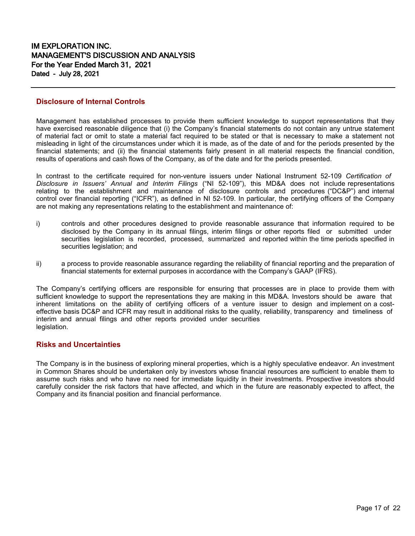### **Disclosure of Internal Controls**

Management has established processes to provide them sufficient knowledge to support representations that they have exercised reasonable diligence that (i) the Company's financial statements do not contain any untrue statement of material fact or omit to state a material fact required to be stated or that is necessary to make a statement not misleading in light of the circumstances under which it is made, as of the date of and for the periods presented by the financial statements; and (ii) the financial statements fairly present in all material respects the financial condition, results of operations and cash flows of the Company, as of the date and for the periods presented.

In contrast to the certificate required for non-venture issuers under National Instrument 52-109 *Certification of Disclosure in Issuers' Annual and Interim Filings* ("NI 52-109"), this MD&A does not include representations relating to the establishment and maintenance of disclosure controls and procedures ("DC&P") and internal control over financial reporting ("ICFR"), as defined in NI 52-109. In particular, the certifying officers of the Company are not making any representations relating to the establishment and maintenance of:

- i) controls and other procedures designed to provide reasonable assurance that information required to be disclosed by the Company in its annual filings, interim filings or other reports filed or submitted under securities legislation is recorded, processed, summarized and reported within the time periods specified in securities legislation; and
- ii) a process to provide reasonable assurance regarding the reliability of financial reporting and the preparation of financial statements for external purposes in accordance with the Company's GAAP (IFRS).

The Company's certifying officers are responsible for ensuring that processes are in place to provide them with sufficient knowledge to support the representations they are making in this MD&A. Investors should be aware that inherent limitations on the ability of certifying officers of a venture issuer to design and implement on a costeffective basis DC&P and ICFR may result in additional risks to the quality, reliability, transparency and timeliness of interim and annual filings and other reports provided under securities legislation.

# **Risks and Uncertainties**

The Company is in the business of exploring mineral properties, which is a highly speculative endeavor. An investment in Common Shares should be undertaken only by investors whose financial resources are sufficient to enable them to assume such risks and who have no need for immediate liquidity in their investments. Prospective investors should carefully consider the risk factors that have affected, and which in the future are reasonably expected to affect, the Company and its financial position and financial performance.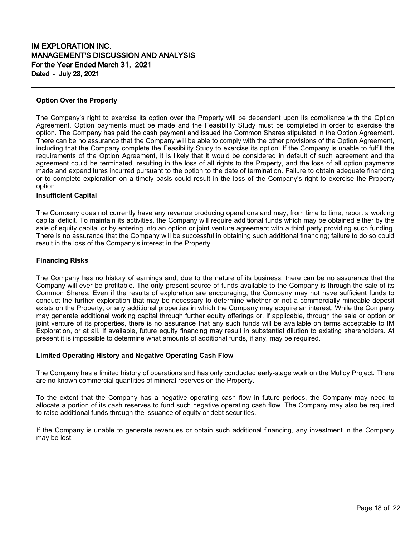### **Option Over the Property**

The Company's right to exercise its option over the Property will be dependent upon its compliance with the Option Agreement. Option payments must be made and the Feasibility Study must be completed in order to exercise the option. The Company has paid the cash payment and issued the Common Shares stipulated in the Option Agreement. There can be no assurance that the Company will be able to comply with the other provisions of the Option Agreement, including that the Company complete the Feasibility Study to exercise its option. If the Company is unable to fulfill the requirements of the Option Agreement, it is likely that it would be considered in default of such agreement and the agreement could be terminated, resulting in the loss of all rights to the Property, and the loss of all option payments made and expenditures incurred pursuant to the option to the date of termination. Failure to obtain adequate financing or to complete exploration on a timely basis could result in the loss of the Company's right to exercise the Property option.

### **Insufficient Capital**

The Company does not currently have any revenue producing operations and may, from time to time, report a working capital deficit. To maintain its activities, the Company will require additional funds which may be obtained either by the sale of equity capital or by entering into an option or joint venture agreement with a third party providing such funding. There is no assurance that the Company will be successful in obtaining such additional financing; failure to do so could result in the loss of the Company's interest in the Property.

### **Financing Risks**

The Company has no history of earnings and, due to the nature of its business, there can be no assurance that the Company will ever be profitable. The only present source of funds available to the Company is through the sale of its Common Shares. Even if the results of exploration are encouraging, the Company may not have sufficient funds to conduct the further exploration that may be necessary to determine whether or not a commercially mineable deposit exists on the Property, or any additional properties in which the Company may acquire an interest. While the Company may generate additional working capital through further equity offerings or, if applicable, through the sale or option or joint venture of its properties, there is no assurance that any such funds will be available on terms acceptable to IM Exploration, or at all. If available, future equity financing may result in substantial dilution to existing shareholders. At present it is impossible to determine what amounts of additional funds, if any, may be required.

### **Limited Operating History and Negative Operating Cash Flow**

The Company has a limited history of operations and has only conducted early-stage work on the Mulloy Project. There are no known commercial quantities of mineral reserves on the Property.

To the extent that the Company has a negative operating cash flow in future periods, the Company may need to allocate a portion of its cash reserves to fund such negative operating cash flow. The Company may also be required to raise additional funds through the issuance of equity or debt securities.

If the Company is unable to generate revenues or obtain such additional financing, any investment in the Company may be lost.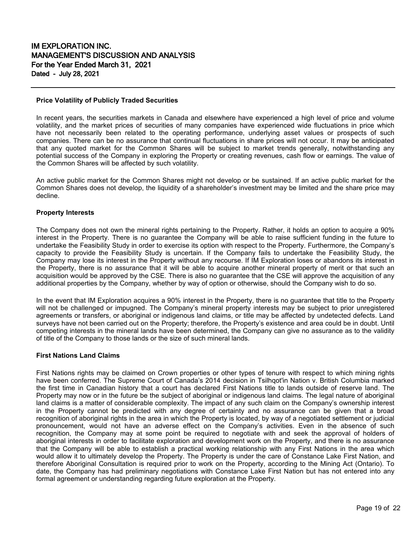#### **Price Volatility of Publicly Traded Securities**

In recent years, the securities markets in Canada and elsewhere have experienced a high level of price and volume volatility, and the market prices of securities of many companies have experienced wide fluctuations in price which have not necessarily been related to the operating performance, underlying asset values or prospects of such companies. There can be no assurance that continual fluctuations in share prices will not occur. It may be anticipated that any quoted market for the Common Shares will be subject to market trends generally, notwithstanding any potential success of the Company in exploring the Property or creating revenues, cash flow or earnings. The value of the Common Shares will be affected by such volatility.

An active public market for the Common Shares might not develop or be sustained. If an active public market for the Common Shares does not develop, the liquidity of a shareholder's investment may be limited and the share price may decline.

#### **Property Interests**

The Company does not own the mineral rights pertaining to the Property. Rather, it holds an option to acquire a 90% interest in the Property. There is no guarantee the Company will be able to raise sufficient funding in the future to undertake the Feasibility Study in order to exercise its option with respect to the Property. Furthermore, the Company's capacity to provide the Feasibility Study is uncertain. If the Company fails to undertake the Feasibility Study, the Company may lose its interest in the Property without any recourse. If IM Exploration loses or abandons its interest in the Property, there is no assurance that it will be able to acquire another mineral property of merit or that such an acquisition would be approved by the CSE. There is also no guarantee that the CSE will approve the acquisition of any additional properties by the Company, whether by way of option or otherwise, should the Company wish to do so.

In the event that IM Exploration acquires a 90% interest in the Property, there is no guarantee that title to the Property will not be challenged or impugned. The Company's mineral property interests may be subject to prior unregistered agreements or transfers, or aboriginal or indigenous land claims, or title may be affected by undetected defects. Land surveys have not been carried out on the Property; therefore, the Property's existence and area could be in doubt. Until competing interests in the mineral lands have been determined, the Company can give no assurance as to the validity of title of the Company to those lands or the size of such mineral lands.

### **First Nations Land Claims**

First Nations rights may be claimed on Crown properties or other types of tenure with respect to which mining rights have been conferred. The Supreme Court of Canada's 2014 decision in Tsilhqot'in Nation v. British Columbia marked the first time in Canadian history that a court has declared First Nations title to lands outside of reserve land. The Property may now or in the future be the subject of aboriginal or indigenous land claims. The legal nature of aboriginal land claims is a matter of considerable complexity. The impact of any such claim on the Company's ownership interest in the Property cannot be predicted with any degree of certainty and no assurance can be given that a broad recognition of aboriginal rights in the area in which the Property is located, by way of a negotiated settlement or judicial pronouncement, would not have an adverse effect on the Company's activities. Even in the absence of such recognition, the Company may at some point be required to negotiate with and seek the approval of holders of aboriginal interests in order to facilitate exploration and development work on the Property, and there is no assurance that the Company will be able to establish a practical working relationship with any First Nations in the area which would allow it to ultimately develop the Property. The Property is under the care of Constance Lake First Nation, and therefore Aboriginal Consultation is required prior to work on the Property, according to the Mining Act (Ontario). To date, the Company has had preliminary negotiations with Constance Lake First Nation but has not entered into any formal agreement or understanding regarding future exploration at the Property.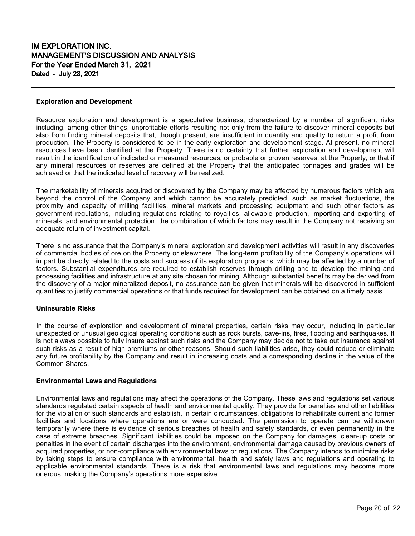#### **Exploration and Development**

Resource exploration and development is a speculative business, characterized by a number of significant risks including, among other things, unprofitable efforts resulting not only from the failure to discover mineral deposits but also from finding mineral deposits that, though present, are insufficient in quantity and quality to return a profit from production. The Property is considered to be in the early exploration and development stage. At present, no mineral resources have been identified at the Property. There is no certainty that further exploration and development will result in the identification of indicated or measured resources, or probable or proven reserves, at the Property, or that if any mineral resources or reserves are defined at the Property that the anticipated tonnages and grades will be achieved or that the indicated level of recovery will be realized.

The marketability of minerals acquired or discovered by the Company may be affected by numerous factors which are beyond the control of the Company and which cannot be accurately predicted, such as market fluctuations, the proximity and capacity of milling facilities, mineral markets and processing equipment and such other factors as government regulations, including regulations relating to royalties, allowable production, importing and exporting of minerals, and environmental protection, the combination of which factors may result in the Company not receiving an adequate return of investment capital.

There is no assurance that the Company's mineral exploration and development activities will result in any discoveries of commercial bodies of ore on the Property or elsewhere. The long-term profitability of the Company's operations will in part be directly related to the costs and success of its exploration programs, which may be affected by a number of factors. Substantial expenditures are required to establish reserves through drilling and to develop the mining and processing facilities and infrastructure at any site chosen for mining. Although substantial benefits may be derived from the discovery of a major mineralized deposit, no assurance can be given that minerals will be discovered in sufficient quantities to justify commercial operations or that funds required for development can be obtained on a timely basis.

#### **Uninsurable Risks**

In the course of exploration and development of mineral properties, certain risks may occur, including in particular unexpected or unusual geological operating conditions such as rock bursts, cave-ins, fires, flooding and earthquakes. It is not always possible to fully insure against such risks and the Company may decide not to take out insurance against such risks as a result of high premiums or other reasons. Should such liabilities arise, they could reduce or eliminate any future profitability by the Company and result in increasing costs and a corresponding decline in the value of the Common Shares.

#### **Environmental Laws and Regulations**

Environmental laws and regulations may affect the operations of the Company. These laws and regulations set various standards regulated certain aspects of health and environmental quality. They provide for penalties and other liabilities for the violation of such standards and establish, in certain circumstances, obligations to rehabilitate current and former facilities and locations where operations are or were conducted. The permission to operate can be withdrawn temporarily where there is evidence of serious breaches of health and safety standards, or even permanently in the case of extreme breaches. Significant liabilities could be imposed on the Company for damages, clean-up costs or penalties in the event of certain discharges into the environment, environmental damage caused by previous owners of acquired properties, or non-compliance with environmental laws or regulations. The Company intends to minimize risks by taking steps to ensure compliance with environmental, health and safety laws and regulations and operating to applicable environmental standards. There is a risk that environmental laws and regulations may become more onerous, making the Company's operations more expensive.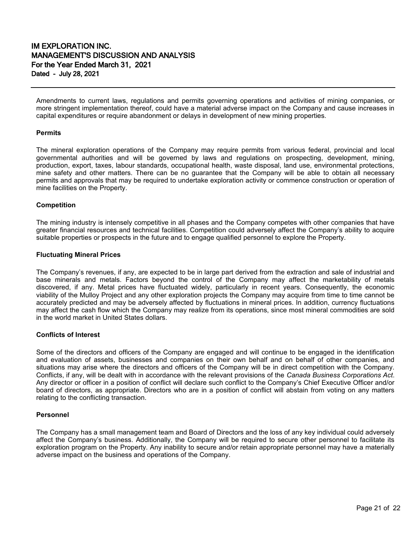Amendments to current laws, regulations and permits governing operations and activities of mining companies, or more stringent implementation thereof, could have a material adverse impact on the Company and cause increases in capital expenditures or require abandonment or delays in development of new mining properties.

#### **Permits**

The mineral exploration operations of the Company may require permits from various federal, provincial and local governmental authorities and will be governed by laws and regulations on prospecting, development, mining, production, export, taxes, labour standards, occupational health, waste disposal, land use, environmental protections, mine safety and other matters. There can be no guarantee that the Company will be able to obtain all necessary permits and approvals that may be required to undertake exploration activity or commence construction or operation of mine facilities on the Property.

#### **Competition**

The mining industry is intensely competitive in all phases and the Company competes with other companies that have greater financial resources and technical facilities. Competition could adversely affect the Company's ability to acquire suitable properties or prospects in the future and to engage qualified personnel to explore the Property.

#### **Fluctuating Mineral Prices**

The Company's revenues, if any, are expected to be in large part derived from the extraction and sale of industrial and base minerals and metals. Factors beyond the control of the Company may affect the marketability of metals discovered, if any. Metal prices have fluctuated widely, particularly in recent years. Consequently, the economic viability of the Mulloy Project and any other exploration projects the Company may acquire from time to time cannot be accurately predicted and may be adversely affected by fluctuations in mineral prices. In addition, currency fluctuations may affect the cash flow which the Company may realize from its operations, since most mineral commodities are sold in the world market in United States dollars.

#### **Conflicts of Interest**

Some of the directors and officers of the Company are engaged and will continue to be engaged in the identification and evaluation of assets, businesses and companies on their own behalf and on behalf of other companies, and situations may arise where the directors and officers of the Company will be in direct competition with the Company. Conflicts, if any, will be dealt with in accordance with the relevant provisions of the *Canada Business Corporations Act*. Any director or officer in a position of conflict will declare such conflict to the Company's Chief Executive Officer and/or board of directors, as appropriate. Directors who are in a position of conflict will abstain from voting on any matters relating to the conflicting transaction.

#### **Personnel**

The Company has a small management team and Board of Directors and the loss of any key individual could adversely affect the Company's business. Additionally, the Company will be required to secure other personnel to facilitate its exploration program on the Property. Any inability to secure and/or retain appropriate personnel may have a materially adverse impact on the business and operations of the Company.